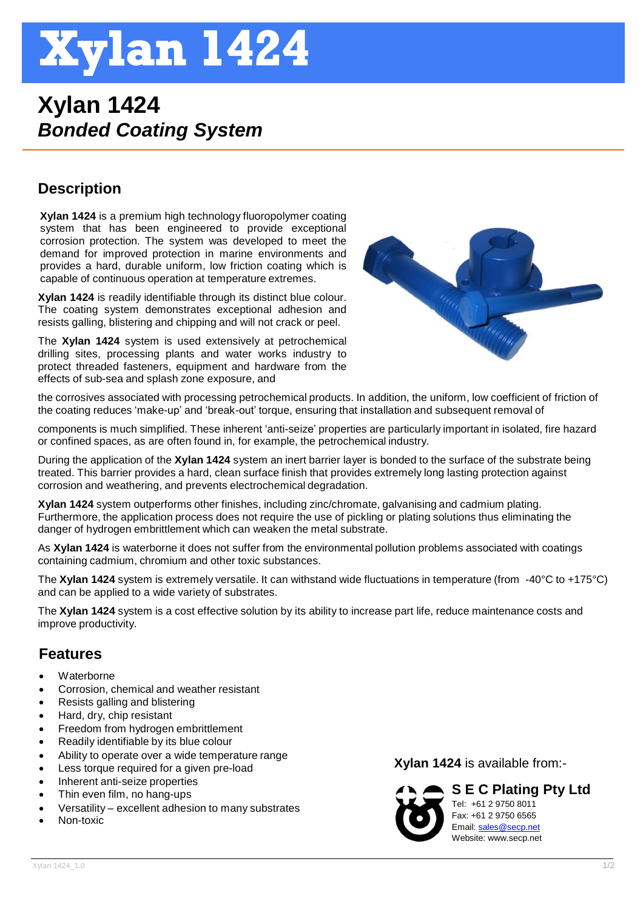# **Xylan 1424**

## **Xylan 1424** *Bonded Coating System*

### **Description**

**Xylan 1424** is a premium high technology fluoropolymer coating system that has been engineered to provide exceptional corrosion protection. The system was developed to meet the demand for improved protection in marine environments and provides a hard, durable uniform, low friction coating which is capable of continuous operation at temperature extremes.

**Xylan 1424** is readily identifiable through its distinct blue colour. The coating system demonstrates exceptional adhesion and resists galling, blistering and chipping and will not crack or peel.

The **Xylan 1424** system is used extensively at petrochemical drilling sites, processing plants and water works industry to protect threaded fasteners, equipment and hardware from the effects of sub-sea and splash zone exposure, and



the corrosives associated with processing petrochemical products. In addition, the uniform, low coefficient of friction of the coating reduces 'make-up' and 'break-out' torque, ensuring that installation and subsequent removal of

components is much simplified. These inherent 'anti-seize' properties are particularly important in isolated, fire hazard or confined spaces, as are often found in, for example, the petrochemical industry.

During the application of the **Xylan 1424** system an inert barrier layer is bonded to the surface of the substrate being treated. This barrier provides a hard, clean surface finish that provides extremely long lasting protection against corrosion and weathering, and prevents electrochemical degradation.

**Xylan 1424** system outperforms other finishes, including zinc/chromate, galvanising and cadmium plating. Furthermore, the application process does not require the use of pickling or plating solutions thus eliminating the danger of hydrogen embrittlement which can weaken the metal substrate.

As **Xylan 1424** is waterborne it does not suffer from the environmental pollution problems associated with coatings containing cadmium, chromium and other toxic substances.

The **Xylan 1424** system is extremely versatile. It can withstand wide fluctuations in temperature (from -40°C to +175°C) and can be applied to a wide variety of substrates.

The **Xylan 1424** system is a cost effective solution by its ability to increase part life, reduce maintenance costs and improve productivity.

#### **Features**

- Waterborne
- Corrosion, chemical and weather resistant
- Resists galling and blistering
- Hard, dry, chip resistant
- Freedom from hydrogen embrittlement
- Readily identifiable by its blue colour
- Ability to operate over a wide temperature range
- Less torque required for a given pre-load
- Inherent anti-seize properties
- Thin even film, no hang-ups
- Versatility excellent adhesion to many substrates
- Non-toxic

**Xylan 1424** is available from:-



**S E C Plating Pty Ltd** Tel: +61 2 9750 8011 Fax: +61 2 9750 6565 Email[: sales@secp.net](mailto:sales@secp.net) Website: www.secp.net